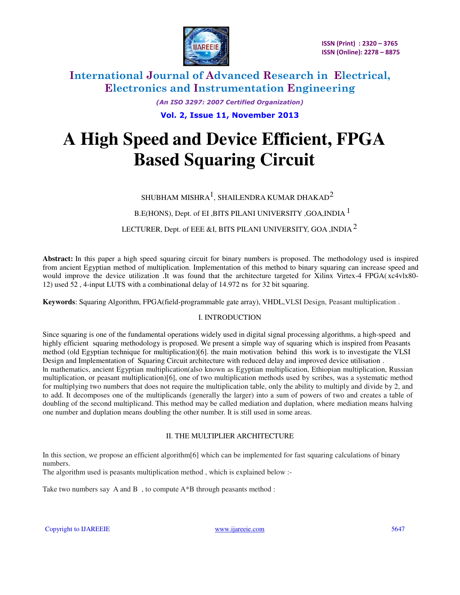

> *(An ISO 3297: 2007 Certified Organization)*  **Vol. 2, Issue 11, November 2013**

# **A High Speed and Device Efficient, FPGA Based Squaring Circuit**

SHUBHAM MISHRA $^{\rm l}$ , SHAILENDRA KUMAR DHAKAD $^{\rm 2}$ 

B.E(HONS), Dept. of EI ,BITS PILANI UNIVERSITY , GOA, INDIA  $^{\mathrm{l}}$ 

LECTURER, Dept. of EEE &I, BITS PILANI UNIVERSITY, GOA, INDIA  $^2$ 

**Abstract:** In this paper a high speed squaring circuit for binary numbers is proposed. The methodology used is inspired from ancient Egyptian method of multiplication. Implementation of this method to binary squaring can increase speed and would improve the device utilization .It was found that the architecture targeted for Xilinx Virtex-4 FPGA(xc4vlx80-12) used 52 , 4-input LUTS with a combinational delay of 14.972 ns for 32 bit squaring.

**Keywords**: Squaring Algorithm, FPGA(field-programmable gate array), VHDL,VLSI Design, Peasant multiplication .

## I. INTRODUCTION

Since squaring is one of the fundamental operations widely used in digital signal processing algorithms, a high-speed and highly efficient squaring methodology is proposed. We present a simple way of squaring which is inspired from Peasants method (old Egyptian technique for multiplication)[6]. the main motivation behind this work is to investigate the VLSI Design and Implementation of Squaring Circuit architecture with reduced delay and improved device utilisation . I[n mathematics, ancient Egyptian multiplication\(also known as Egyptian multiplication, Ethiopian multiplication, Russian](http://en.wikipedia.org/wiki/Mathematics)  multiplication, or peasant multiplication)[6], one of two multiplication methods used by scribes, was a systematic method for multiplying two numbers that does not require the [multiplication table, only the ability to multiply and](http://en.wikipedia.org/wiki/Multiplication_table) [divide by 2, and](http://en.wikipedia.org/wiki/Division_by_2) [to add.](http://en.wikipedia.org/wiki/Addition) It decomposes one of the multiplicands (generally the larger) into a sum of powers of two and creates a table of doubling of the second multiplicand. This method may be called mediation and duplation, where mediation means halving one number and duplation means doubling the other number. It is still used in some areas.

## II. THE MULTIPLIER ARCHITECTURE

In this section, we propose an efficient algorithm[6] which can be implemented for fast squaring calculations of binary numbers.

The algorithm used is peasants multiplication method , which is explained below :-

Take two numbers say A and B, to compute  $A^*B$  through peasants method :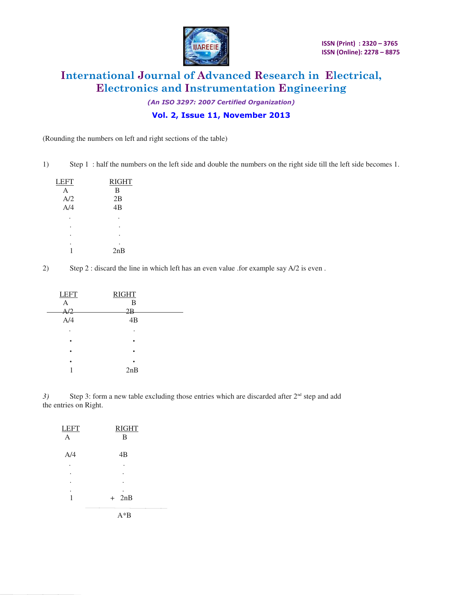

*(An ISO 3297: 2007 Certified Organization)* 

**Vol. 2, Issue 11, November 2013**

(Rounding the numbers on left and right sections of the table)

1) Step 1 : half the numbers on the left side and double the numbers on the right side till the left side becomes 1.

| LEFT | <b>RIGHT</b> |
|------|--------------|
| A    | B            |
| A/2  | 2B           |
| A/4  | 4B           |
|      |              |
|      |              |
|      |              |
|      |              |
|      | 2nB          |
|      |              |

2) Step 2 : discard the line in which left has an even value .for example say A/2 is even .

| <b>LEFT</b> | <b>RIGHT</b> |  |
|-------------|--------------|--|
| А           | B            |  |
| A/2         | 2B           |  |
| A/4         | 4B           |  |
| ٠           | ٠            |  |
|             |              |  |
|             |              |  |
|             |              |  |
|             | 2nB          |  |

3) Step 3: form a new table excluding those entries which are discarded after 2<sup>nd</sup> step and add the entries on Right.

| <b>LEFT</b><br>$\overline{A}$ | <b>RIGHT</b><br>B |
|-------------------------------|-------------------|
| A/4                           | 4B                |
|                               |                   |
| ٠                             |                   |
|                               |                   |
|                               |                   |
| 1                             | $+$ 2nB           |
|                               | $A^*B$            |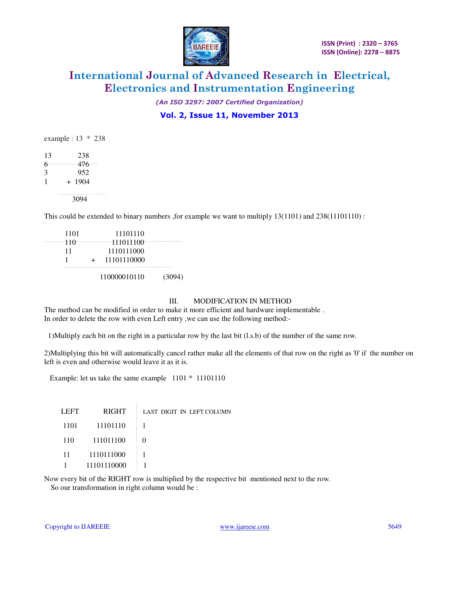

*(An ISO 3297: 2007 Certified Organization)* 

## **Vol. 2, Issue 11, November 2013**

|    |     | example : $13 * 238$ |
|----|-----|----------------------|
| 13 |     | 238                  |
| 6  |     | 476                  |
| 3  |     | 952                  |
| 1  | $+$ | 1904                 |
|    |     |                      |

3094

This could be extended to binary numbers ,for example we want to multiply 13(1101) and 238(11101110) :

|      | 110000010110 | (3094) |
|------|--------------|--------|
|      | 11101110000  |        |
| 11   | 1110111000   |        |
| 110  | 111011100    |        |
| 1101 | 11101110     |        |

#### III. MODIFICATION IN METHOD

The method can be modified in order to make it more efficient and hardware implementable . In order to delete the row with even Left entry ,we can use the following method:-

1)Multiply each bit on the right in a particular row by the last bit (l.s.b) of the number of the same row.

2)Multiplying this bit will automatically cancel rather make all the elements of that row on the right as '0' if the number on left is even and otherwise would leave it as it is.

Example: let us take the same example 1101 \* 11101110

| <b>LEFT</b> | <b>RIGHT</b> | LAST DIGIT IN LEFT COLUMN |
|-------------|--------------|---------------------------|
| 1101        | 11101110     |                           |
| 110         | 111011100    |                           |
| 11          | 1110111000   |                           |
|             | 11101110000  |                           |

Now every bit of the RIGHT row is multiplied by the respective bit mentioned next to the row. So our transformation in right column would be :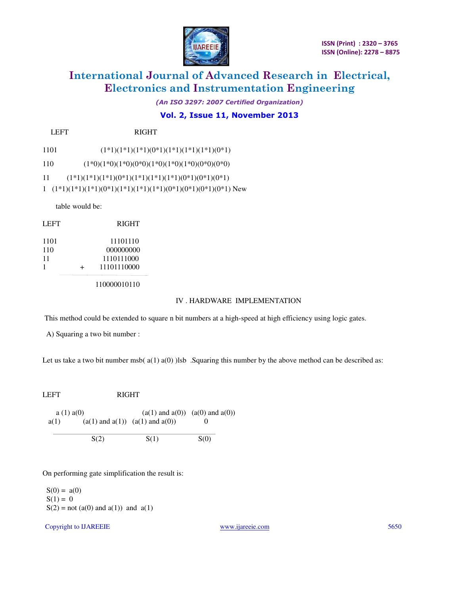

*(An ISO 3297: 2007 Certified Organization)* 

## **Vol. 2, Issue 11, November 2013**

LEFT RIGHT

1101  $(1^*1)(1^*1)(1^*1)(0^*1)(1^*1)(1^*1)(1^*1)(0^*1)$ 

110  $(1*0)(1*0)(1*0)(0*0)(1*0)(1*0)(1*0)(1*0)(0*0)(0*0)$ 

11 (1\*1)(1\*1)(1\*1)(0\*1)(1\*1)(1\*1)(1\*1)(0\*1)(0\*1)(0\*1)

1 (1\*1)(1\*1)(1\*1)(0\*1)(1\*1)(1\*1)(1\*1)(0\*1)(0\*1)(0\*1)(0\*1) New

table would be:

| LEFT              |   | <b>RIGHT</b>                                       |
|-------------------|---|----------------------------------------------------|
| 1101<br>110<br>11 | + | 11101110<br>000000000<br>1110111000<br>11101110000 |
|                   |   |                                                    |

110000010110

#### IV . HARDWARE IMPLEMENTATION

This method could be extended to square n bit numbers at a high-speed at high efficiency using logic gates*.*

A) Squaring a two bit number :

Let us take a two bit number msb( $a(1) a(0)$ )lsb. Squaring this number by the above method can be described as:

LEFT RIGHT a (1) a(0) (a(1) and a(0)) (a(0) and a(0)) a(1)  $(a(1) \text{ and } a(1))$   $(a(1) \text{ and } a(0))$  0

 $S(2)$   $S(1)$   $S(0)$ 

On performing gate simplification the result is:

 $S(0) = a(0)$  $S(1) = 0$  $S(2) = not (a(0) and a(1)) and a(1)$ 

Copyright to IJAREEIE [www.ijareeie.com](http://www.ijareeie.com/) 5650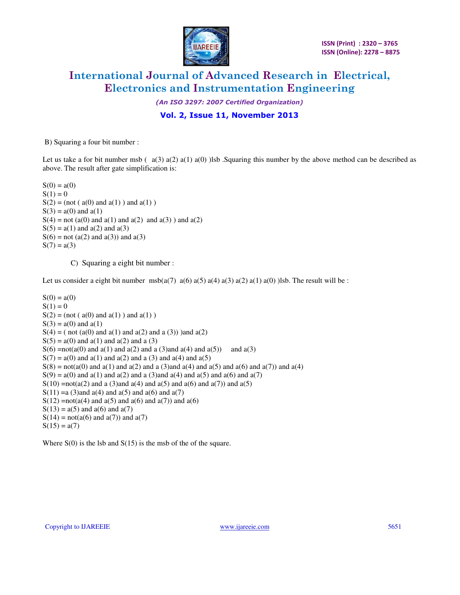

*(An ISO 3297: 2007 Certified Organization)* 

**Vol. 2, Issue 11, November 2013**

B) Squaring a four bit number :

Let us take a for bit number msb  $(a(3) a(2) a(1) a(0)$  )lsb . Squaring this number by the above method can be described as above. The result after gate simplification is:

 $S(0) = a(0)$  $S(1) = 0$  $S(2) = (not ( a(0) and a(1) )$  and  $a(1)$ )  $S(3) = a(0)$  and  $a(1)$  $S(4) = not (a(0) and a(1) and a(2) and a(3))$  and  $a(2)$  $S(5) = a(1)$  and  $a(2)$  and  $a(3)$  $S(6) = not (a(2) and a(3))$  and  $a(3)$  $S(7) = a(3)$ 

C) Squaring a eight bit number :

Let us consider a eight bit number  $msb(a(7) a(6) a(5) a(4) a(3) a(2) a(1) a(0)$  )lsb. The result will be :

 $S(0) = a(0)$  $S(1) = 0$  $S(2) = (not ( a(0) and a(1) )$  and  $a(1)$ )  $S(3) = a(0)$  and  $a(1)$  $S(4) = (not (a(0) and a(1) and a(2) and a(3))$  and  $a(2)$  $S(5) = a(0)$  and  $a(1)$  and  $a(2)$  and  $a(3)$  $S(6) = not(a(0) \text{ and } a(1) \text{ and } a(2) \text{ and } a(3)$  and  $a(4) \text{ and } a(5)$  and  $a(3)$  $S(7) = a(0)$  and  $a(1)$  and  $a(2)$  and  $a(3)$  and  $a(4)$  and  $a(5)$  $S(8) = \text{not}(a(0) \text{ and } a(1) \text{ and } a(2) \text{ and } a(3) \text{ and } a(4) \text{ and } a(5) \text{ and } a(6) \text{ and } a(7) \text{) and } a(4)$  $S(9) = a(0)$  and  $a(1)$  and  $a(2)$  and  $a(3)$  and  $a(4)$  and  $a(5)$  and  $a(6)$  and  $a(7)$  $S(10) = not(a(2)$  and a (3)and a(4) and a(5) and a(6) and a(7)) and a(5) S(11) = a (3) and a(4) and a(5) and a(6) and a(7)  $S(12) = not(a(4) \text{ and } a(5) \text{ and } a(6) \text{ and } a(7)) \text{ and } a(6)$  $S(13) = a(5)$  and  $a(6)$  and  $a(7)$  $S(14) = not(a(6) \text{ and } a(7)) \text{ and } a(7)$  $S(15) = a(7)$ 

Where  $S(0)$  is the lsb and  $S(15)$  is the msb of the of the square.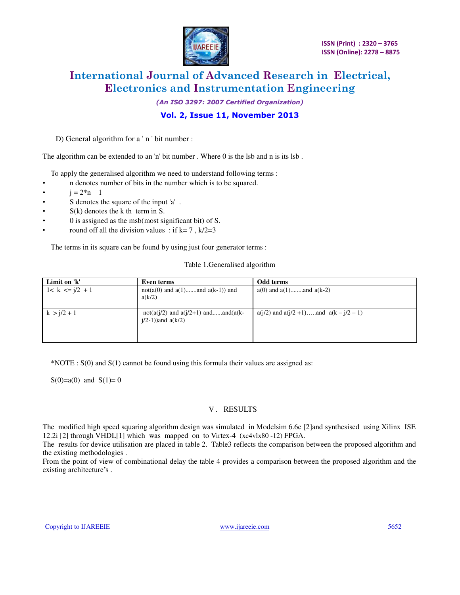

*(An ISO 3297: 2007 Certified Organization)* 

## **Vol. 2, Issue 11, November 2013**

D) General algorithm for a ' n ' bit number :

The algorithm can be extended to an 'n' bit number . Where 0 is the lsb and n is its lsb .

To apply the generalised algorithm we need to understand following terms :

- n denotes number of bits in the number which is to be squared.
- $i = 2^n n 1$
- S denotes the square of the input 'a' .
- $S(k)$  denotes the k th term in S.
- 0 is assigned as the msb(most significant bit) of S.
- round off all the division values : if  $k=7$ ,  $k/2=3$

The terms in its square can be found by using just four generator terms :

#### Table 1.Generalised algorithm

| Limit on 'k'        | Even terms                                                           | Odd terms                                      |
|---------------------|----------------------------------------------------------------------|------------------------------------------------|
| $1 < k \le i/2 + 1$ | $not(a(0)$ and $a(1)$ and $a(k-1)$ and<br>a(k/2)                     | $a(0)$ and $a(1)$ and $a(k-2)$                 |
| $k > i/2 + 1$       | $not(a(j/2)$ and $a(j/2+1)$ andand( $a(k-$<br>$j/2-1$ ) and $a(k/2)$ | $a(j/2)$ and $a(j/2 + 1)$ and $a(k - j/2 - 1)$ |

\*NOTE : S(0) and S(1) cannot be found using this formula their values are assigned as:

 $S(0)=a(0)$  and  $S(1)=0$ 

### V *.* RESULTS

The modified high speed squaring algorithm design was simulated in Modelsim 6.6c [2]and synthesised using Xilinx ISE 12.2i [2] through VHDL[1] which was mapped on to Virtex-4 (xc4vlx80 -12) FPGA.

The results for device utilisation are placed in table 2. Table3 reflects the comparison between the proposed algorithm and the existing methodologies .

From the point of view of combinational delay the table 4 provides a comparison between the proposed algorithm and the existing architecture's .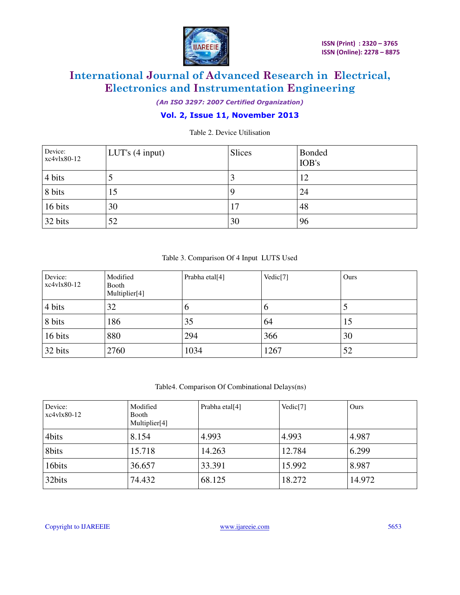

*(An ISO 3297: 2007 Certified Organization)* 

## **Vol. 2, Issue 11, November 2013**

Table 2. Device Utilisation

| Device:<br>xc4vlx80-12 | LUT's (4 input) | <b>Slices</b> | <b>Bonded</b><br>IOB's |
|------------------------|-----------------|---------------|------------------------|
| 4 bits                 |                 |               | 12                     |
| 8 bits                 | 15              |               | 24                     |
| 16 bits                | 30              | 17            | 48                     |
| 32 bits                | 52              | 30            | 96                     |

## Table 3. Comparison Of 4 Input LUTS Used

| Device:<br>$xc4v1x80-12$ | Modified<br>Booth<br>Multiplier[4] | Prabha etal <sup>[4]</sup> | Vedic $[7]$ | Ours |
|--------------------------|------------------------------------|----------------------------|-------------|------|
| 4 bits                   | 32                                 | $\sigma$                   | O           | J    |
| 8 bits                   | 186                                | 35                         | 64          | 15   |
| 16 bits                  | 880                                | 294                        | 366         | 30   |
| 32 bits                  | 2760                               | 1034                       | 1267        | 52   |

#### Table4. Comparison Of Combinational Delays(ns)

| Device:<br>$xc4v1x80-12$ | Modified<br>Booth<br>Multiplier[4] | Prabha etal <sup>[4]</sup> | Vedic <sup>[7]</sup> | Ours   |
|--------------------------|------------------------------------|----------------------------|----------------------|--------|
| 4bits                    | 8.154                              | 4.993                      | 4.993                | 4.987  |
| 8bits                    | 15.718                             | 14.263                     | 12.784               | 6.299  |
| 16bits                   | 36.657                             | 33.391                     | 15.992               | 8.987  |
| 32bits                   | 74.432                             | 68.125                     | 18.272               | 14.972 |